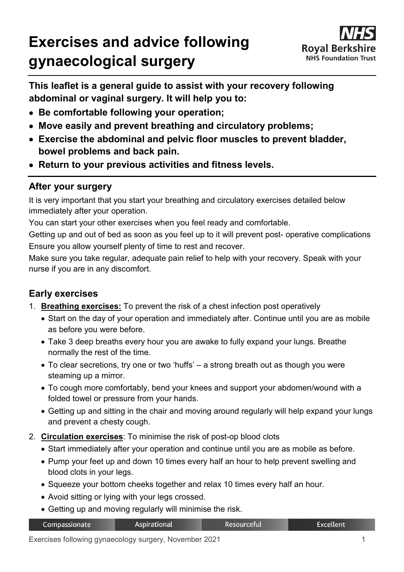# **Exercises and advice following gynaecological surgery**



**This leaflet is a general guide to assist with your recovery following abdominal or vaginal surgery. It will help you to:**

- **Be comfortable following your operation;**
- **Move easily and prevent breathing and circulatory problems;**
- **Exercise the abdominal and pelvic floor muscles to prevent bladder, bowel problems and back pain.**
- **Return to your previous activities and fitness levels.**

### **After your surgery**

It is very important that you start your breathing and circulatory exercises detailed below immediately after your operation.

You can start your other exercises when you feel ready and comfortable.

Getting up and out of bed as soon as you feel up to it will prevent post- operative complications Ensure you allow yourself plenty of time to rest and recover.

Make sure you take regular, adequate pain relief to help with your recovery. Speak with your nurse if you are in any discomfort.

### **Early exercises**

- 1. **Breathing exercises:** To prevent the risk of a chest infection post operatively
	- Start on the day of your operation and immediately after. Continue until you are as mobile as before you were before.
	- Take 3 deep breaths every hour you are awake to fully expand your lungs. Breathe normally the rest of the time.
	- To clear secretions, try one or two 'huffs' a strong breath out as though you were steaming up a mirror.
	- To cough more comfortably, bend your knees and support your abdomen/wound with a folded towel or pressure from your hands.
	- Getting up and sitting in the chair and moving around regularly will help expand your lungs and prevent a chesty cough.
- 2. **Circulation exercises**: To minimise the risk of post-op blood clots
	- Start immediately after your operation and continue until you are as mobile as before.
	- Pump your feet up and down 10 times every half an hour to help prevent swelling and blood clots in your legs.
	- Squeeze your bottom cheeks together and relax 10 times every half an hour.
	- Avoid sitting or lying with your legs crossed.
	- Getting up and moving regularly will minimise the risk.

| Compassionate | <b>Aspirational</b> | Resourceful | Excellent <sup>1</sup> |
|---------------|---------------------|-------------|------------------------|
|               |                     |             |                        |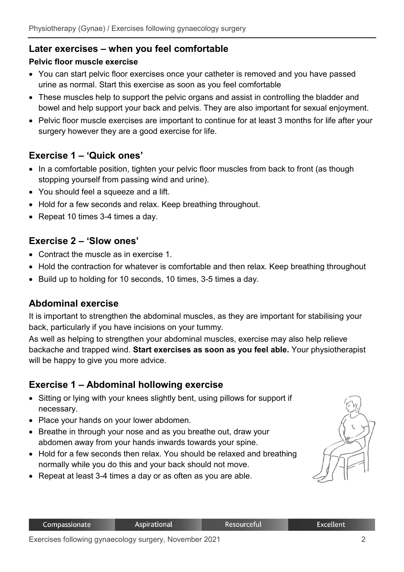### **Later exercises – when you feel comfortable**

#### **Pelvic floor muscle exercise**

- You can start pelvic floor exercises once your catheter is removed and you have passed urine as normal. Start this exercise as soon as you feel comfortable
- These muscles help to support the pelvic organs and assist in controlling the bladder and bowel and help support your back and pelvis. They are also important for sexual enjoyment.
- Pelvic floor muscle exercises are important to continue for at least 3 months for life after your surgery however they are a good exercise for life.

### **Exercise 1 – 'Quick ones'**

- In a comfortable position, tighten your pelvic floor muscles from back to front (as though stopping yourself from passing wind and urine).
- You should feel a squeeze and a lift.
- Hold for a few seconds and relax. Keep breathing throughout.
- Repeat 10 times 3-4 times a day.

#### **Exercise 2 – 'Slow ones'**

- Contract the muscle as in exercise 1.
- Hold the contraction for whatever is comfortable and then relax. Keep breathing throughout
- Build up to holding for 10 seconds, 10 times, 3-5 times a day.

### **Abdominal exercise**

It is important to strengthen the abdominal muscles, as they are important for stabilising your back, particularly if you have incisions on your tummy.

As well as helping to strengthen your abdominal muscles, exercise may also help relieve backache and trapped wind. **Start exercises as soon as you feel able.** Your physiotherapist will be happy to give you more advice.

### **Exercise 1 – Abdominal hollowing exercise**

- Sitting or lying with your knees slightly bent, using pillows for support if necessary.
- Place your hands on your lower abdomen.
- Breathe in through your nose and as you breathe out, draw your abdomen away from your hands inwards towards your spine.
- Hold for a few seconds then relax. You should be relaxed and breathing normally while you do this and your back should not move.
- Repeat at least 3-4 times a day or as often as you are able.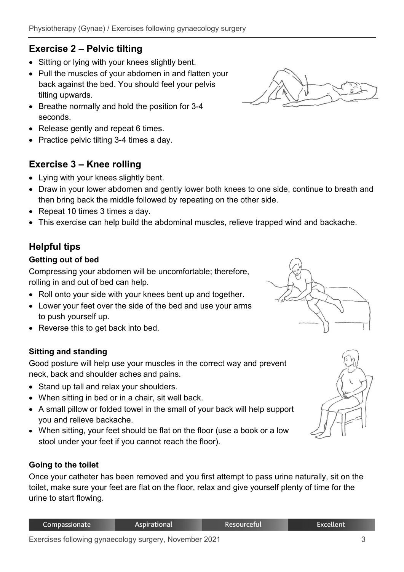# **Exercise 2 – Pelvic tilting**

- Sitting or lying with your knees slightly bent.
- Pull the muscles of your abdomen in and flatten your back against the bed. You should feel your pelvis tilting upwards.
- Breathe normally and hold the position for 3-4 seconds.
- Release gently and repeat 6 times.
- Practice pelvic tilting 3-4 times a day.

# **Exercise 3 – Knee rolling**

- Lying with your knees slightly bent.
- Draw in your lower abdomen and gently lower both knees to one side, continue to breath and then bring back the middle followed by repeating on the other side.
- Repeat 10 times 3 times a day.
- This exercise can help build the abdominal muscles, relieve trapped wind and backache.

# **Helpful tips**

### **Getting out of bed**

Compressing your abdomen will be uncomfortable; therefore, rolling in and out of bed can help.

- Roll onto your side with your knees bent up and together.
- Lower your feet over the side of the bed and use your arms to push yourself up.
- Reverse this to get back into bed.

### **Sitting and standing**

Good posture will help use your muscles in the correct way and prevent neck, back and shoulder aches and pains.

- Stand up tall and relax your shoulders.
- When sitting in bed or in a chair, sit well back.
- A small pillow or folded towel in the small of your back will help support you and relieve backache.
- When sitting, your feet should be flat on the floor (use a book or a low stool under your feet if you cannot reach the floor).

### **Going to the toilet**

Once your catheter has been removed and you first attempt to pass urine naturally, sit on the toilet, make sure your feet are flat on the floor, relax and give yourself plenty of time for the urine to start flowing.







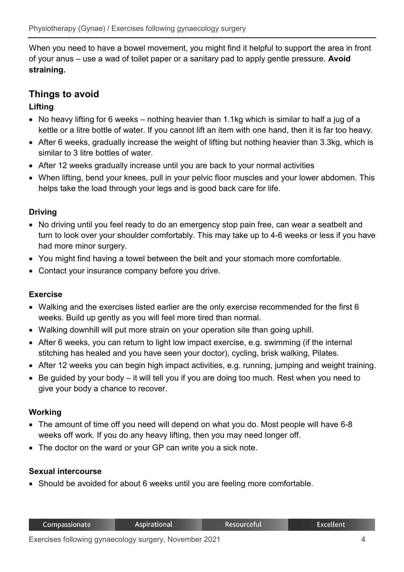When you need to have a bowel movement, you might find it helpful to support the area in front of your anus – use a wad of toilet paper or a sanitary pad to apply gentle pressure. **Avoid straining.**

## **Things to avoid**

#### **Lifting**

- No heavy lifting for 6 weeks nothing heavier than 1.1kg which is similar to half a jug of a kettle or a litre bottle of water. If you cannot lift an item with one hand, then it is far too heavy.
- After 6 weeks, gradually increase the weight of lifting but nothing heavier than 3.3kg, which is similar to 3 litre bottles of water.
- After 12 weeks gradually increase until you are back to your normal activities
- When lifting, bend your knees, pull in your pelvic floor muscles and your lower abdomen. This helps take the load through your legs and is good back care for life.

#### **Driving**

- No driving until you feel ready to do an emergency stop pain free, can wear a seatbelt and turn to look over your shoulder comfortably. This may take up to 4-6 weeks or less if you have had more minor surgery.
- You might find having a towel between the belt and your stomach more comfortable.
- Contact your insurance company before you drive.

#### **Exercise**

- Walking and the exercises listed earlier are the only exercise recommended for the first 6 weeks. Build up gently as you will feel more tired than normal.
- Walking downhill will put more strain on your operation site than going uphill.
- After 6 weeks, you can return to light low impact exercise, e.g. swimming (if the internal stitching has healed and you have seen your doctor), cycling, brisk walking, Pilates.
- After 12 weeks you can begin high impact activities, e.g. running, jumping and weight training.
- Be guided by your body it will tell you if you are doing too much. Rest when you need to give your body a chance to recover.

#### **Working**

- The amount of time off you need will depend on what you do. Most people will have 6-8 weeks off work. If you do any heavy lifting, then you may need longer off.
- The doctor on the ward or your GP can write you a sick note.

#### **Sexual intercourse**

• Should be avoided for about 6 weeks until you are feeling more comfortable.